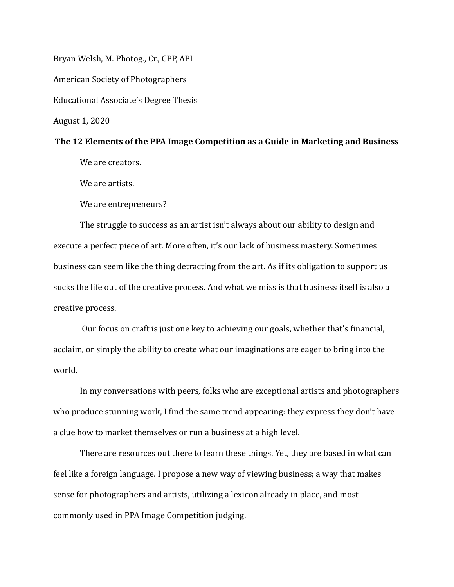Bryan Welsh, M. Photog., Cr., CPP, API American Society of Photographers Educational Associate's Degree Thesis August 1, 2020

#### The 12 Elements of the PPA Image Competition as a Guide in Marketing and Business

We are creators.

We are artists.

We are entrepreneurs?

The struggle to success as an artist isn't always about our ability to design and execute a perfect piece of art. More often, it's our lack of business mastery. Sometimes business can seem like the thing detracting from the art. As if its obligation to support us sucks the life out of the creative process. And what we miss is that business itself is also a creative process.

Our focus on craft is just one key to achieving our goals, whether that's financial, acclaim, or simply the ability to create what our imaginations are eager to bring into the world. 

In my conversations with peers, folks who are exceptional artists and photographers who produce stunning work, I find the same trend appearing: they express they don't have a clue how to market themselves or run a business at a high level.

There are resources out there to learn these things. Yet, they are based in what can feel like a foreign language. I propose a new way of viewing business; a way that makes sense for photographers and artists, utilizing a lexicon already in place, and most commonly used in PPA Image Competition judging.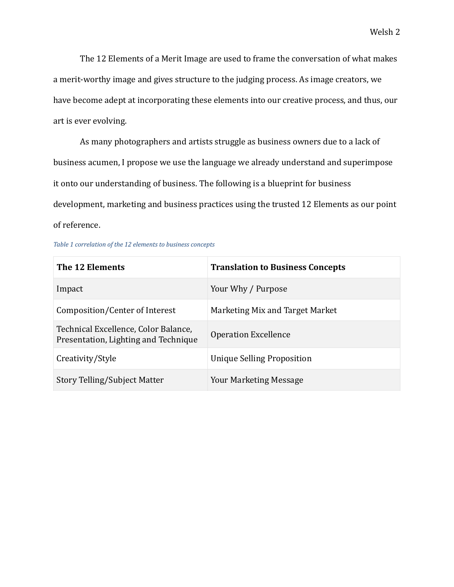The 12 Elements of a Merit Image are used to frame the conversation of what makes a merit-worthy image and gives structure to the judging process. As image creators, we have become adept at incorporating these elements into our creative process, and thus, our art is ever evolving.

As many photographers and artists struggle as business owners due to a lack of business acumen, I propose we use the language we already understand and superimpose it onto our understanding of business. The following is a blueprint for business development, marketing and business practices using the trusted 12 Elements as our point of reference.

|  | Table 1 correlation of the 12 elements to business concepts |  |  |  |  |  |  |
|--|-------------------------------------------------------------|--|--|--|--|--|--|
|--|-------------------------------------------------------------|--|--|--|--|--|--|

| The 12 Elements                                                              | <b>Translation to Business Concepts</b> |  |  |  |
|------------------------------------------------------------------------------|-----------------------------------------|--|--|--|
| Impact                                                                       | Your Why / Purpose                      |  |  |  |
| Composition/Center of Interest                                               | Marketing Mix and Target Market         |  |  |  |
| Technical Excellence, Color Balance,<br>Presentation, Lighting and Technique | <b>Operation Excellence</b>             |  |  |  |
| Creativity/Style                                                             | Unique Selling Proposition              |  |  |  |
| Story Telling/Subject Matter                                                 | <b>Your Marketing Message</b>           |  |  |  |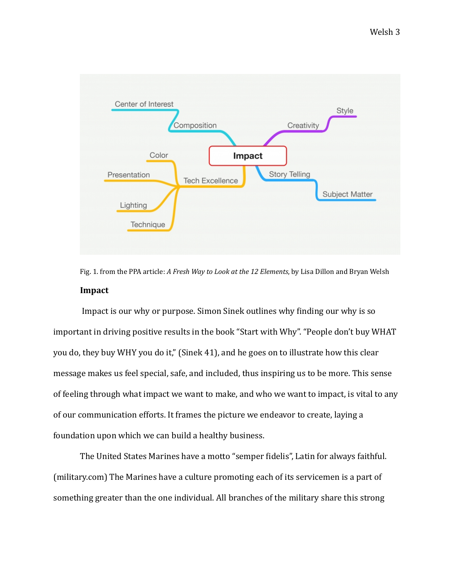

Fig. 1. from the PPA article: *A Fresh Way to Look at the 12 Elements*, by Lisa Dillon and Bryan Welsh **Impact** 

Impact is our why or purpose. Simon Sinek outlines why finding our why is so important in driving positive results in the book "Start with Why". "People don't buy WHAT you do, they buy WHY you do it," (Sinek 41), and he goes on to illustrate how this clear message makes us feel special, safe, and included, thus inspiring us to be more. This sense of feeling through what impact we want to make, and who we want to impact, is vital to any of our communication efforts. It frames the picture we endeavor to create, laying a foundation upon which we can build a healthy business.

The United States Marines have a motto "semper fidelis", Latin for always faithful. (military.com) The Marines have a culture promoting each of its servicemen is a part of something greater than the one individual. All branches of the military share this strong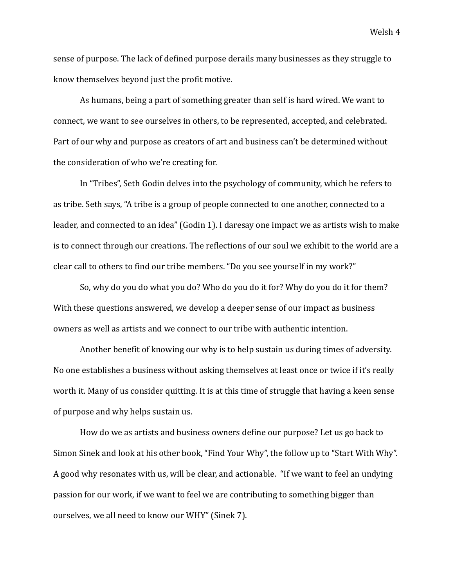sense of purpose. The lack of defined purpose derails many businesses as they struggle to know themselves beyond just the profit motive.

As humans, being a part of something greater than self is hard wired. We want to connect, we want to see ourselves in others, to be represented, accepted, and celebrated. Part of our why and purpose as creators of art and business can't be determined without the consideration of who we're creating for.

In "Tribes", Seth Godin delves into the psychology of community, which he refers to as tribe. Seth says, "A tribe is a group of people connected to one another, connected to a leader, and connected to an idea" (Godin 1). I daresay one impact we as artists wish to make is to connect through our creations. The reflections of our soul we exhibit to the world are a clear call to others to find our tribe members. "Do you see yourself in my work?"

So, why do you do what you do? Who do you do it for? Why do you do it for them? With these questions answered, we develop a deeper sense of our impact as business owners as well as artists and we connect to our tribe with authentic intention.

Another benefit of knowing our why is to help sustain us during times of adversity. No one establishes a business without asking themselves at least once or twice if it's really worth it. Many of us consider quitting. It is at this time of struggle that having a keen sense of purpose and why helps sustain us.

How do we as artists and business owners define our purpose? Let us go back to Simon Sinek and look at his other book, "Find Your Why", the follow up to "Start With Why". A good why resonates with us, will be clear, and actionable. "If we want to feel an undying passion for our work, if we want to feel we are contributing to something bigger than ourselves, we all need to know our WHY" (Sinek 7).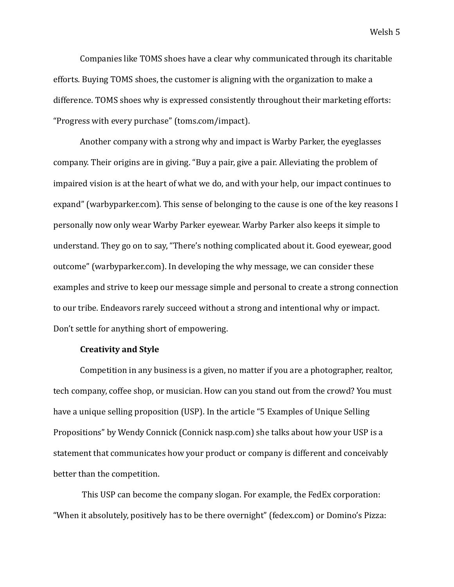Companies like TOMS shoes have a clear why communicated through its charitable efforts. Buying TOMS shoes, the customer is aligning with the organization to make a difference. TOMS shoes why is expressed consistently throughout their marketing efforts: "Progress with every purchase" (toms.com/impact). 

Another company with a strong why and impact is Warby Parker, the eyeglasses company. Their origins are in giving. "Buy a pair, give a pair. Alleviating the problem of impaired vision is at the heart of what we do, and with your help, our impact continues to expand" (warbyparker.com). This sense of belonging to the cause is one of the key reasons I personally now only wear Warby Parker eyewear. Warby Parker also keeps it simple to understand. They go on to say, "There's nothing complicated about it. Good eyewear, good outcome" (warbyparker.com). In developing the why message, we can consider these examples and strive to keep our message simple and personal to create a strong connection to our tribe. Endeavors rarely succeed without a strong and intentional why or impact. Don't settle for anything short of empowering.

#### **Creativity and Style**

Competition in any business is a given, no matter if you are a photographer, realtor, tech company, coffee shop, or musician. How can you stand out from the crowd? You must have a unique selling proposition (USP). In the article "5 Examples of Unique Selling Propositions" by Wendy Connick (Connick nasp.com) she talks about how your USP is a statement that communicates how your product or company is different and conceivably better than the competition.

This USP can become the company slogan. For example, the FedEx corporation: "When it absolutely, positively has to be there overnight" (fedex.com) or Domino's Pizza: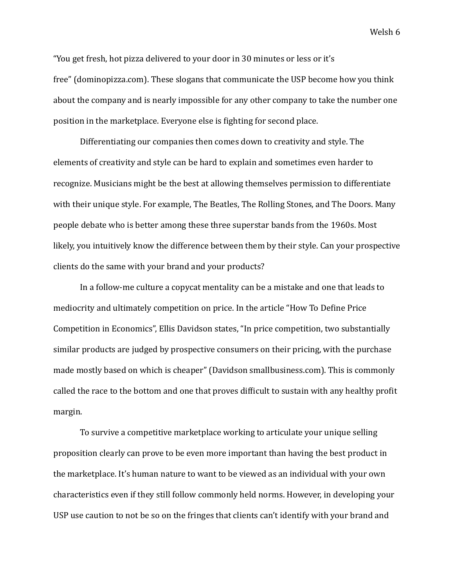"You get fresh, hot pizza delivered to your door in 30 minutes or less or it's free" (dominopizza.com). These slogans that communicate the USP become how you think about the company and is nearly impossible for any other company to take the number one position in the marketplace. Everyone else is fighting for second place.

Differentiating our companies then comes down to creativity and style. The elements of creativity and style can be hard to explain and sometimes even harder to recognize. Musicians might be the best at allowing themselves permission to differentiate with their unique style. For example, The Beatles, The Rolling Stones, and The Doors. Many people debate who is better among these three superstar bands from the 1960s. Most likely, you intuitively know the difference between them by their style. Can your prospective clients do the same with your brand and your products?

In a follow-me culture a copycat mentality can be a mistake and one that leads to mediocrity and ultimately competition on price. In the article "How To Define Price" Competition in Economics", Ellis Davidson states, "In price competition, two substantially similar products are judged by prospective consumers on their pricing, with the purchase made mostly based on which is cheaper" (Davidson smallbusiness.com). This is commonly called the race to the bottom and one that proves difficult to sustain with any healthy profit margin. 

To survive a competitive marketplace working to articulate your unique selling proposition clearly can prove to be even more important than having the best product in the marketplace. It's human nature to want to be viewed as an individual with your own characteristics even if they still follow commonly held norms. However, in developing your USP use caution to not be so on the fringes that clients can't identify with your brand and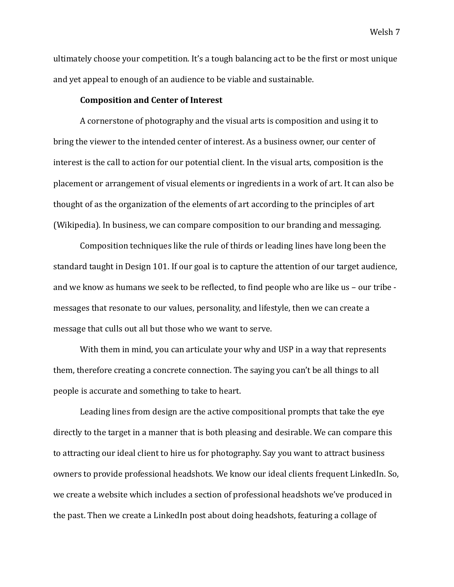ultimately choose your competition. It's a tough balancing act to be the first or most unique and yet appeal to enough of an audience to be viable and sustainable.

### **Composition and Center of Interest**

A cornerstone of photography and the visual arts is composition and using it to bring the viewer to the intended center of interest. As a business owner, our center of interest is the call to action for our potential client. In the visual arts, composition is the placement or arrangement of visual elements or ingredients in a work of art. It can also be thought of as the organization of the elements of art according to the principles of art (Wikipedia). In business, we can compare composition to our branding and messaging.

Composition techniques like the rule of thirds or leading lines have long been the standard taught in Design 101. If our goal is to capture the attention of our target audience, and we know as humans we seek to be reflected, to find people who are like us – our tribe messages that resonate to our values, personality, and lifestyle, then we can create a message that culls out all but those who we want to serve.

With them in mind, you can articulate your why and USP in a way that represents them, therefore creating a concrete connection. The saying you can't be all things to all people is accurate and something to take to heart.

Leading lines from design are the active compositional prompts that take the eye directly to the target in a manner that is both pleasing and desirable. We can compare this to attracting our ideal client to hire us for photography. Say you want to attract business owners to provide professional headshots. We know our ideal clients frequent LinkedIn. So, we create a website which includes a section of professional headshots we've produced in the past. Then we create a LinkedIn post about doing headshots, featuring a collage of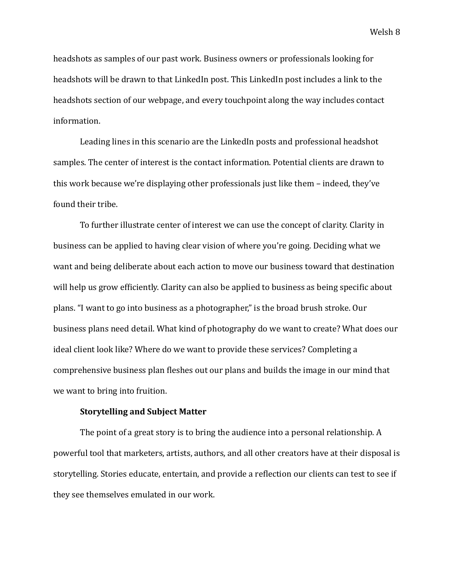headshots as samples of our past work. Business owners or professionals looking for headshots will be drawn to that LinkedIn post. This LinkedIn post includes a link to the headshots section of our webpage, and every touchpoint along the way includes contact information. 

Leading lines in this scenario are the LinkedIn posts and professional headshot samples. The center of interest is the contact information. Potential clients are drawn to this work because we're displaying other professionals just like them - indeed, they've found their tribe.

To further illustrate center of interest we can use the concept of clarity. Clarity in business can be applied to having clear vision of where you're going. Deciding what we want and being deliberate about each action to move our business toward that destination will help us grow efficiently. Clarity can also be applied to business as being specific about plans. "I want to go into business as a photographer," is the broad brush stroke. Our business plans need detail. What kind of photography do we want to create? What does our ideal client look like? Where do we want to provide these services? Completing a comprehensive business plan fleshes out our plans and builds the image in our mind that we want to bring into fruition.

# **Storytelling and Subject Matter**

The point of a great story is to bring the audience into a personal relationship. A powerful tool that marketers, artists, authors, and all other creators have at their disposal is storytelling. Stories educate, entertain, and provide a reflection our clients can test to see if they see themselves emulated in our work.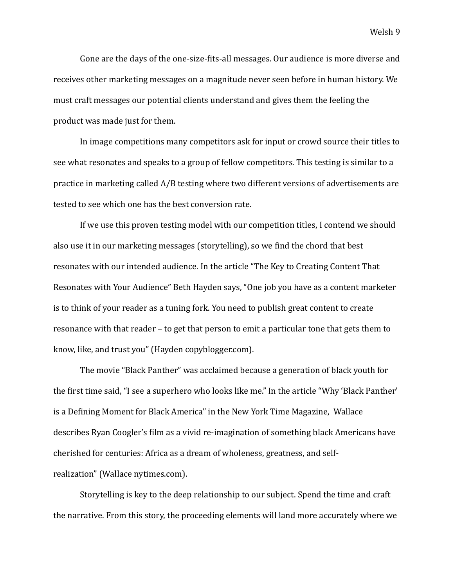Gone are the days of the one-size-fits-all messages. Our audience is more diverse and receives other marketing messages on a magnitude never seen before in human history. We must craft messages our potential clients understand and gives them the feeling the product was made just for them.

In image competitions many competitors ask for input or crowd source their titles to see what resonates and speaks to a group of fellow competitors. This testing is similar to a practice in marketing called A/B testing where two different versions of advertisements are tested to see which one has the best conversion rate.

If we use this proven testing model with our competition titles, I contend we should also use it in our marketing messages (storytelling), so we find the chord that best resonates with our intended audience. In the article "The Key to Creating Content That Resonates with Your Audience" Beth Hayden says, "One job you have as a content marketer is to think of your reader as a tuning fork. You need to publish great content to create resonance with that reader – to get that person to emit a particular tone that gets them to know, like, and trust you" (Hayden copyblogger.com).

The movie "Black Panther" was acclaimed because a generation of black youth for the first time said, "I see a superhero who looks like me." In the article "Why 'Black Panther' is a Defining Moment for Black America" in the New York Time Magazine, Wallace describes Ryan Coogler's film as a vivid re-imagination of something black Americans have cherished for centuries: Africa as a dream of wholeness, greatness, and selfrealization" (Wallace nytimes.com).

Storytelling is key to the deep relationship to our subject. Spend the time and craft the narrative. From this story, the proceeding elements will land more accurately where we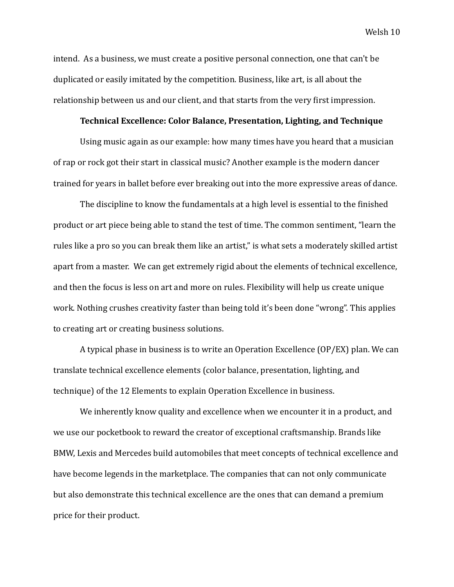intend. As a business, we must create a positive personal connection, one that can't be duplicated or easily imitated by the competition. Business, like art, is all about the relationship between us and our client, and that starts from the very first impression.

#### **Technical Excellence: Color Balance, Presentation, Lighting, and Technique**

Using music again as our example: how many times have you heard that a musician of rap or rock got their start in classical music? Another example is the modern dancer trained for years in ballet before ever breaking out into the more expressive areas of dance.

The discipline to know the fundamentals at a high level is essential to the finished product or art piece being able to stand the test of time. The common sentiment, "learn the rules like a pro so you can break them like an artist," is what sets a moderately skilled artist apart from a master. We can get extremely rigid about the elements of technical excellence, and then the focus is less on art and more on rules. Flexibility will help us create unique work. Nothing crushes creativity faster than being told it's been done "wrong". This applies to creating art or creating business solutions.

A typical phase in business is to write an Operation Excellence (OP/EX) plan. We can translate technical excellence elements (color balance, presentation, lighting, and technique) of the 12 Elements to explain Operation Excellence in business.

We inherently know quality and excellence when we encounter it in a product, and we use our pocketbook to reward the creator of exceptional craftsmanship. Brands like BMW, Lexis and Mercedes build automobiles that meet concepts of technical excellence and have become legends in the marketplace. The companies that can not only communicate but also demonstrate this technical excellence are the ones that can demand a premium price for their product.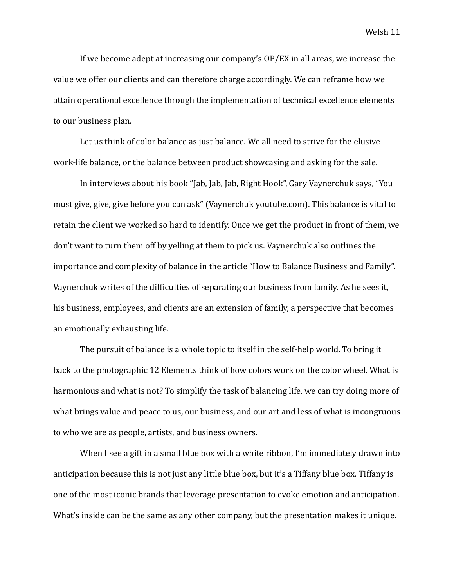If we become adept at increasing our company's  $OP/EX$  in all areas, we increase the value we offer our clients and can therefore charge accordingly. We can reframe how we attain operational excellence through the implementation of technical excellence elements to our business plan.

Let us think of color balance as just balance. We all need to strive for the elusive work-life balance, or the balance between product showcasing and asking for the sale.

In interviews about his book "Jab, Jab, Jab, Right Hook", Gary Vaynerchuk says, "You must give, give, give before you can ask" ([Vaynerchuk](https://www.youtube.com/watch?v=jylS5dIwViI&fbclid=IwAR0HNTqTOg6IH7FNMezAjeJ2b0LLBJPvQB3m3epShTQCsmkhNlAFg8aNjGE) youtube.com). This balance is vital to retain the client we worked so hard to identify. Once we get the product in front of them, we don't want to turn them off by yelling at them to pick us. Vaynerchuk also outlines the importance and complexity of balance in the article "How to Balance Business and Family". Vaynerchuk writes of the difficulties of separating our business from family. As he sees it, his business, employees, and clients are an extension of family, a perspective that becomes an emotionally exhausting life.

The pursuit of balance is a whole topic to itself in the self-help world. To bring it back to the photographic 12 Elements think of how colors work on the color wheel. What is harmonious and what is not? To simplify the task of balancing life, we can try doing more of what brings value and peace to us, our business, and our art and less of what is incongruous to who we are as people, artists, and business owners.

When I see a gift in a small blue box with a white ribbon, I'm immediately drawn into anticipation because this is not just any little blue box, but it's a Tiffany blue box. Tiffany is one of the most iconic brands that leverage presentation to evoke emotion and anticipation. What's inside can be the same as any other company, but the presentation makes it unique.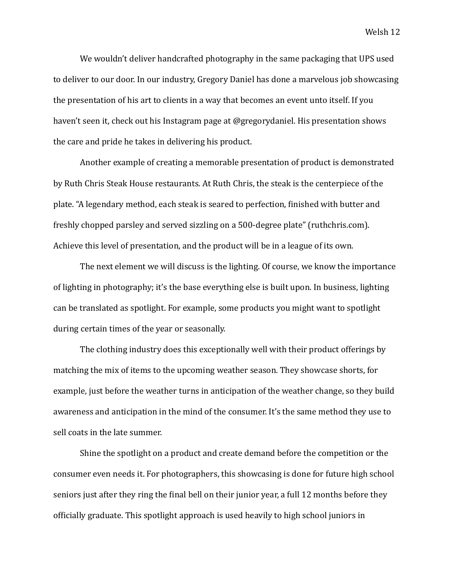We wouldn't deliver handcrafted photography in the same packaging that UPS used to deliver to our door. In our industry, Gregory Daniel has done a marvelous job showcasing the presentation of his art to clients in a way that becomes an event unto itself. If you haven't seen it, check out his Instagram page at @gregorydaniel. His presentation shows the care and pride he takes in delivering his product.

Another example of creating a memorable presentation of product is demonstrated by Ruth Chris Steak House restaurants. At Ruth Chris, the steak is the centerpiece of the plate. "A legendary method, each steak is seared to perfection, finished with butter and freshly chopped parsley and served sizzling on a 500-degree plate" (ruthchris.com). Achieve this level of presentation, and the product will be in a league of its own.

The next element we will discuss is the lighting. Of course, we know the importance of lighting in photography; it's the base everything else is built upon. In business, lighting can be translated as spotlight. For example, some products you might want to spotlight during certain times of the year or seasonally.

The clothing industry does this exceptionally well with their product offerings by matching the mix of items to the upcoming weather season. They showcase shorts, for example, just before the weather turns in anticipation of the weather change, so they build awareness and anticipation in the mind of the consumer. It's the same method they use to sell coats in the late summer.

Shine the spotlight on a product and create demand before the competition or the consumer even needs it. For photographers, this showcasing is done for future high school seniors just after they ring the final bell on their junior year, a full 12 months before they officially graduate. This spotlight approach is used heavily to high school juniors in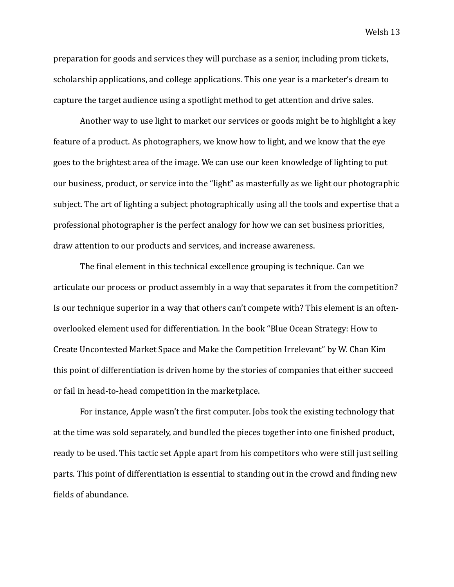preparation for goods and services they will purchase as a senior, including prom tickets, scholarship applications, and college applications. This one year is a marketer's dream to capture the target audience using a spotlight method to get attention and drive sales.

Another way to use light to market our services or goods might be to highlight a key feature of a product. As photographers, we know how to light, and we know that the eye goes to the brightest area of the image. We can use our keen knowledge of lighting to put our business, product, or service into the "light" as masterfully as we light our photographic subject. The art of lighting a subject photographically using all the tools and expertise that a professional photographer is the perfect analogy for how we can set business priorities. draw attention to our products and services, and increase awareness.

The final element in this technical excellence grouping is technique. Can we articulate our process or product assembly in a way that separates it from the competition? Is our technique superior in a way that others can't compete with? This element is an oftenoverlooked element used for differentiation. In the book "Blue Ocean Strategy: How to Create Uncontested Market Space and Make the Competition Irrelevant" by W. Chan Kim this point of differentiation is driven home by the stories of companies that either succeed or fail in head-to-head competition in the marketplace.

For instance, Apple wasn't the first computer. Jobs took the existing technology that at the time was sold separately, and bundled the pieces together into one finished product, ready to be used. This tactic set Apple apart from his competitors who were still just selling parts. This point of differentiation is essential to standing out in the crowd and finding new fields of abundance.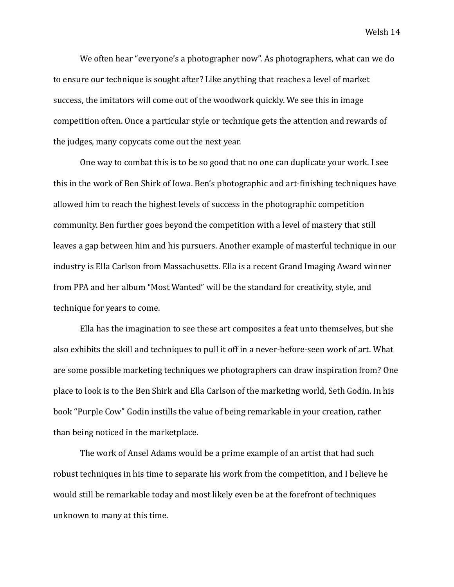We often hear "everyone's a photographer now". As photographers, what can we do to ensure our technique is sought after? Like anything that reaches a level of market success, the imitators will come out of the woodwork quickly. We see this in image competition often. Once a particular style or technique gets the attention and rewards of the judges, many copycats come out the next year.

One way to combat this is to be so good that no one can duplicate your work. I see this in the work of Ben Shirk of Iowa. Ben's photographic and art-finishing techniques have allowed him to reach the highest levels of success in the photographic competition community. Ben further goes beyond the competition with a level of mastery that still leaves a gap between him and his pursuers. Another example of masterful technique in our industry is Ella Carlson from Massachusetts. Ella is a recent Grand Imaging Award winner from PPA and her album "Most Wanted" will be the standard for creativity, style, and technique for years to come.

Ella has the imagination to see these art composites a feat unto themselves, but she also exhibits the skill and techniques to pull it off in a never-before-seen work of art. What are some possible marketing techniques we photographers can draw inspiration from? One place to look is to the Ben Shirk and Ella Carlson of the marketing world, Seth Godin. In his book "Purple Cow" Godin instills the value of being remarkable in your creation, rather than being noticed in the marketplace.

The work of Ansel Adams would be a prime example of an artist that had such robust techniques in his time to separate his work from the competition, and I believe he would still be remarkable today and most likely even be at the forefront of techniques unknown to many at this time.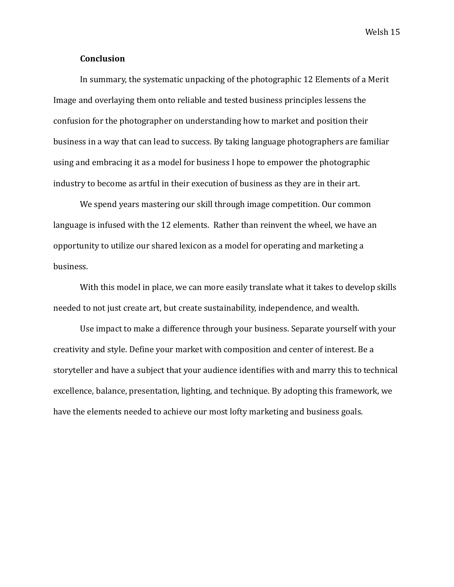# **Conclusion**

In summary, the systematic unpacking of the photographic 12 Elements of a Merit Image and overlaying them onto reliable and tested business principles lessens the confusion for the photographer on understanding how to market and position their business in a way that can lead to success. By taking language photographers are familiar using and embracing it as a model for business I hope to empower the photographic industry to become as artful in their execution of business as they are in their art.

We spend years mastering our skill through image competition. Our common language is infused with the 12 elements. Rather than reinvent the wheel, we have an opportunity to utilize our shared lexicon as a model for operating and marketing a business. 

With this model in place, we can more easily translate what it takes to develop skills needed to not just create art, but create sustainability, independence, and wealth.

Use impact to make a difference through your business. Separate yourself with your creativity and style. Define your market with composition and center of interest. Be a storyteller and have a subject that your audience identifies with and marry this to technical excellence, balance, presentation, lighting, and technique. By adopting this framework, we have the elements needed to achieve our most lofty marketing and business goals.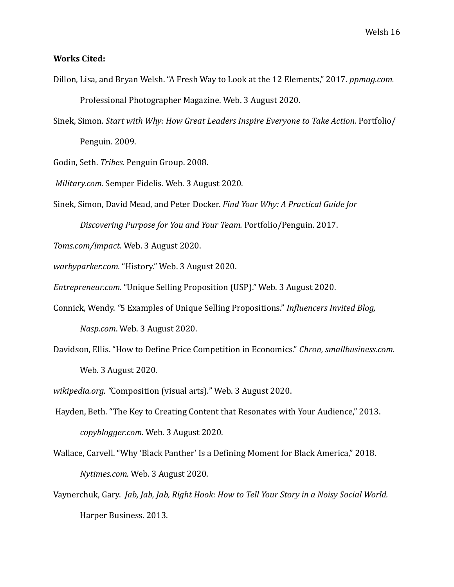# **Works Cited:**

- Dillon, Lisa, and Bryan Welsh. "A Fresh Way to Look at the 12 Elements," 2017. *ppmag.com.* Professional Photographer Magazine. Web. 3 August 2020.
- Sinek, Simon. *Start with Why: How Great Leaders Inspire Everyone to Take Action.* Portfolio/ Penguin. 2009.

Godin, Seth. *Tribes.* Penguin Group. 2008.

*Military.com.* Semper Fidelis. Web. 3 August 2020.

Sinek, Simon, David Mead, and Peter Docker. Find Your Why: A Practical Guide for

*[Discovering Purpose for You and Your Team.](https://www.goodreads.com/work/quotes/49782500)* Portfolio/Penguin. 2017. 

*Toms.com/impact*. Web. 3 August 2020.

warbyparker.com. "History." Web. 3 August 2020.

*Entrepreneur.com.* "Unique Selling Proposition (USP)." Web. 3 August 2020.

- Connick, Wendy. "5 Examples of Unique Selling Propositions." *Influencers Invited Blog, Nasp.com*. Web. 3 August 2020.
- Davidson, Ellis. "How to Define Price Competition in Economics." Chron, smallbusiness.com. Web. 3 August 2020.

wikipedia.org. "Composition (visual arts)." Web. 3 August 2020.

Hayden, Beth. "The Key to Creating Content that Resonates with Your Audience," 2013. *[copyblogger.com.](https://www.copyblogger.com/resonant-content-marketing/)* Web. 3 August 2020. 

Wallace, Carvell. "Why 'Black Panther' Is a Defining Moment for Black America," 2018. *Nytimes.com.* Web. 3 August 2020. 

Vaynerchuk, Gary. *Jab, Jab, Jab, Right Hook: How to Tell Your Story in a Noisy Social World.* Harper Business. 2013.